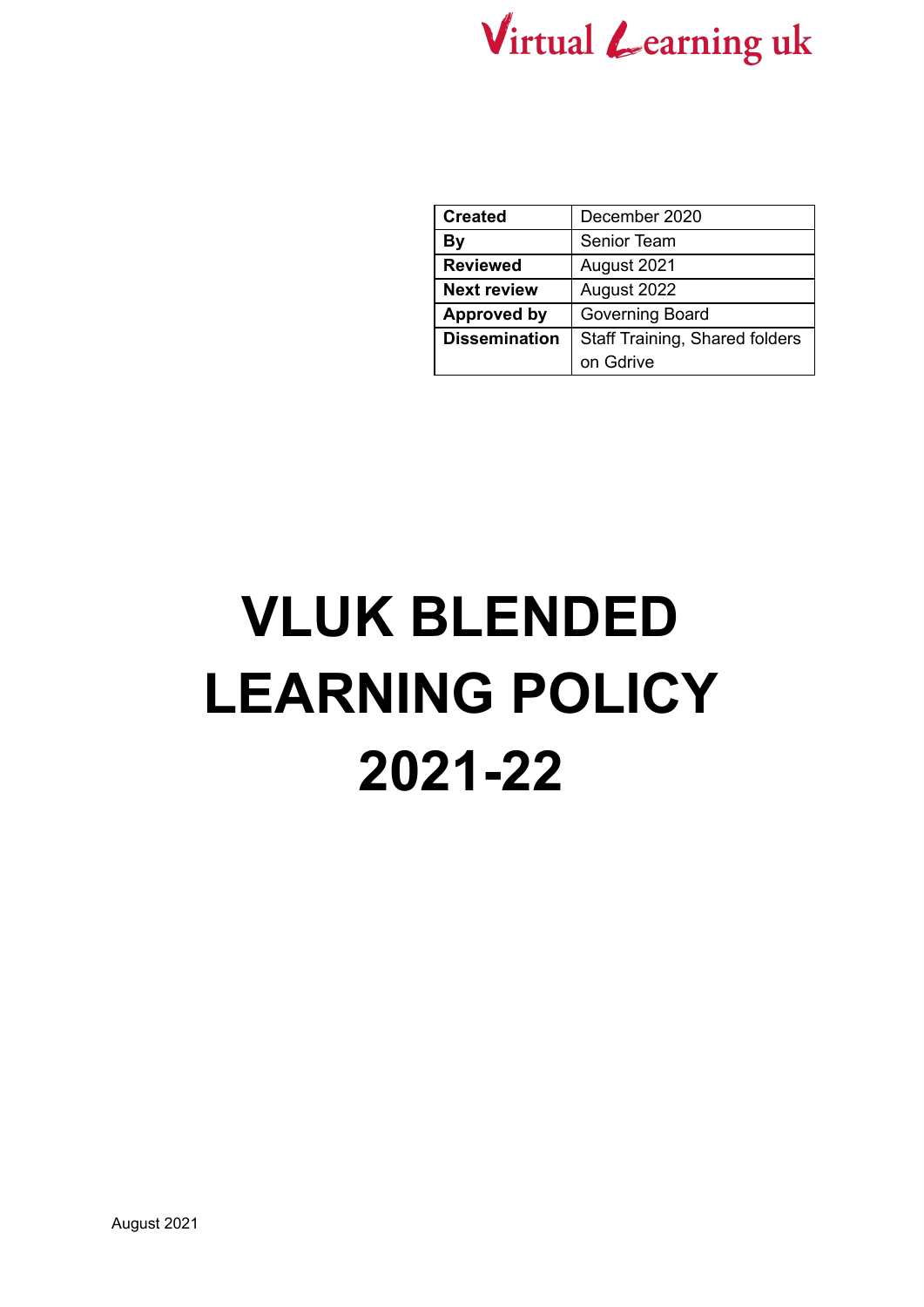

| <b>Created</b>       | December 2020                  |
|----------------------|--------------------------------|
| Bγ                   | Senior Team                    |
| <b>Reviewed</b>      | August 2021                    |
| <b>Next review</b>   | August 2022                    |
| <b>Approved by</b>   | Governing Board                |
| <b>Dissemination</b> | Staff Training, Shared folders |
|                      | on Gdrive                      |

# **VLUK BLENDED LEARNING POLICY 2021-22**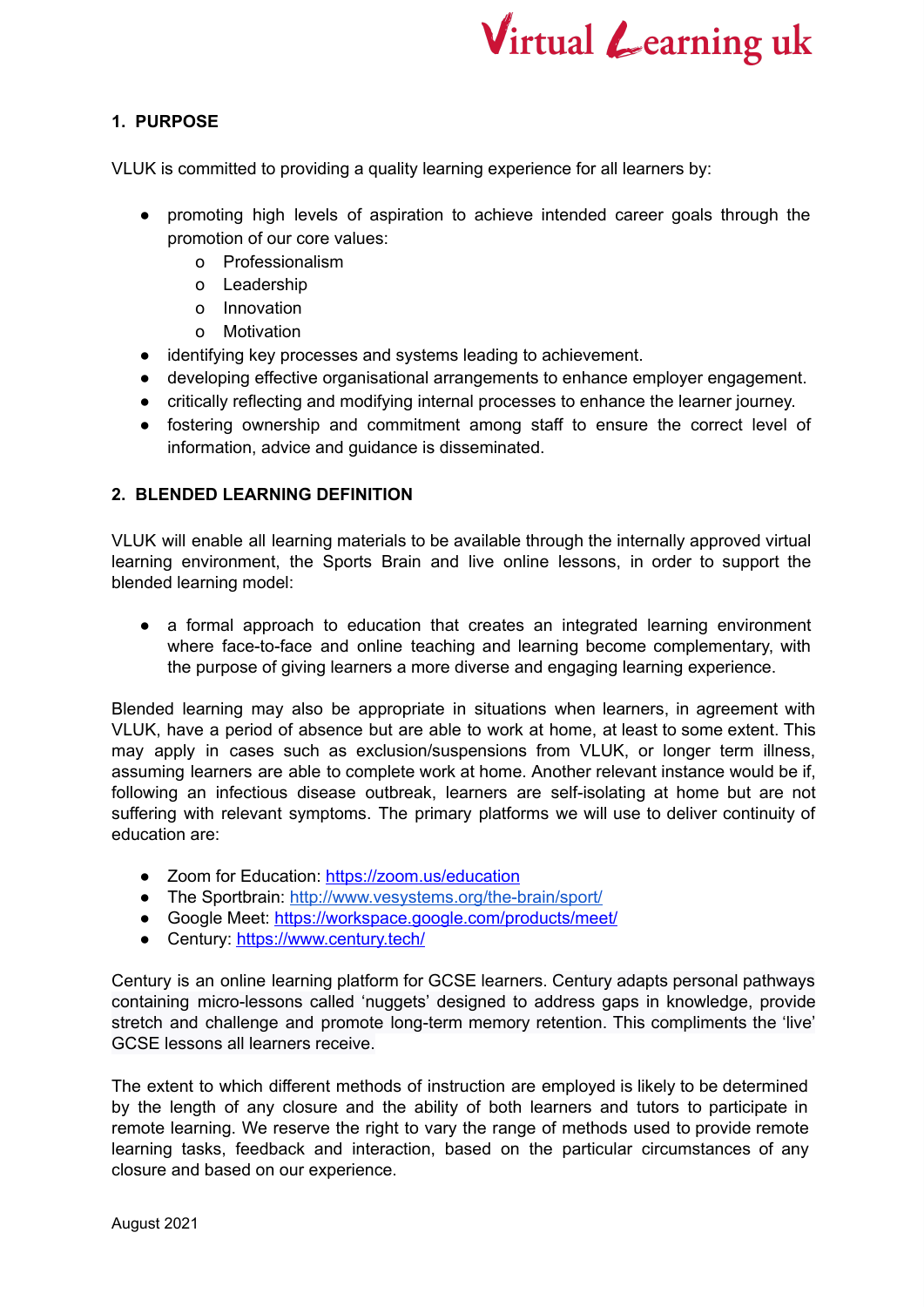

## **1. PURPOSE**

VLUK is committed to providing a quality learning experience for all learners by:

- promoting high levels of aspiration to achieve intended career goals through the promotion of our core values:
	- o Professionalism
	- o Leadership
	- o Innovation
	- o Motivation
- identifying key processes and systems leading to achievement.
- developing effective organisational arrangements to enhance employer engagement.
- critically reflecting and modifying internal processes to enhance the learner journey.
- fostering ownership and commitment among staff to ensure the correct level of information, advice and guidance is disseminated.

#### **2. BLENDED LEARNING DEFINITION**

VLUK will enable all learning materials to be available through the internally approved virtual learning environment, the Sports Brain and live online lessons, in order to support the blended learning model:

● a formal approach to education that creates an integrated learning environment where face-to-face and online teaching and learning become complementary, with the purpose of giving learners a more diverse and engaging learning experience.

Blended learning may also be appropriate in situations when learners, in agreement with VLUK, have a period of absence but are able to work at home, at least to some extent. This may apply in cases such as exclusion/suspensions from VLUK, or longer term illness, assuming learners are able to complete work at home. Another relevant instance would be if, following an infectious disease outbreak, learners are self-isolating at home but are not suffering with relevant symptoms. The primary platforms we will use to deliver continuity of education are:

- Zoom for Education: <https://zoom.us/education>
- The Sportbrain: <http://www.vesystems.org/the-brain/sport/>
- Google Meet: <https://workspace.google.com/products/meet/>
- Century: <https://www.century.tech/>

Century is an online learning platform for GCSE learners. Century adapts personal pathways containing micro-lessons called 'nuggets' designed to address gaps in knowledge, provide stretch and challenge and promote long-term memory retention. This compliments the 'live' GCSE lessons all learners receive.

The extent to which different methods of instruction are employed is likely to be determined by the length of any closure and the ability of both learners and tutors to participate in remote learning. We reserve the right to vary the range of methods used to provide remote learning tasks, feedback and interaction, based on the particular circumstances of any closure and based on our experience.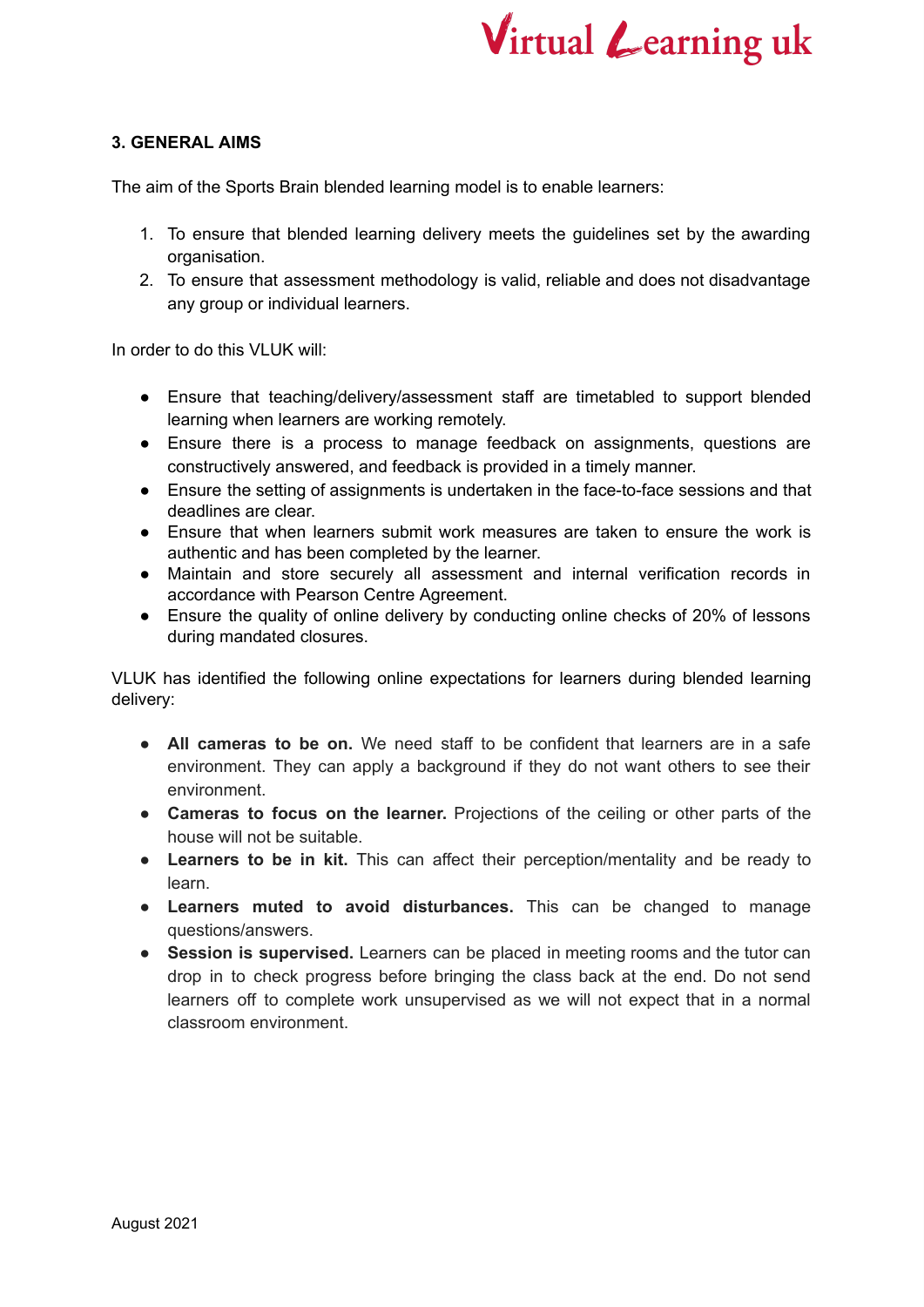

#### **3. GENERAL AIMS**

The aim of the Sports Brain blended learning model is to enable learners:

- 1. To ensure that blended learning delivery meets the guidelines set by the awarding organisation.
- 2. To ensure that assessment methodology is valid, reliable and does not disadvantage any group or individual learners.

In order to do this VLUK will:

- Ensure that teaching/delivery/assessment staff are timetabled to support blended learning when learners are working remotely.
- Ensure there is a process to manage feedback on assignments, questions are constructively answered, and feedback is provided in a timely manner.
- Ensure the setting of assignments is undertaken in the face-to-face sessions and that deadlines are clear.
- Ensure that when learners submit work measures are taken to ensure the work is authentic and has been completed by the learner.
- Maintain and store securely all assessment and internal verification records in accordance with Pearson Centre Agreement.
- Ensure the quality of online delivery by conducting online checks of 20% of lessons during mandated closures.

VLUK has identified the following online expectations for learners during blended learning delivery:

- **All cameras to be on.** We need staff to be confident that learners are in a safe environment. They can apply a background if they do not want others to see their environment.
- **Cameras to focus on the learner.** Projections of the ceiling or other parts of the house will not be suitable.
- **Learners to be in kit.** This can affect their perception/mentality and be ready to learn.
- **Learners muted to avoid disturbances.** This can be changed to manage questions/answers.
- **Session is supervised.** Learners can be placed in meeting rooms and the tutor can drop in to check progress before bringing the class back at the end. Do not send learners off to complete work unsupervised as we will not expect that in a normal classroom environment.